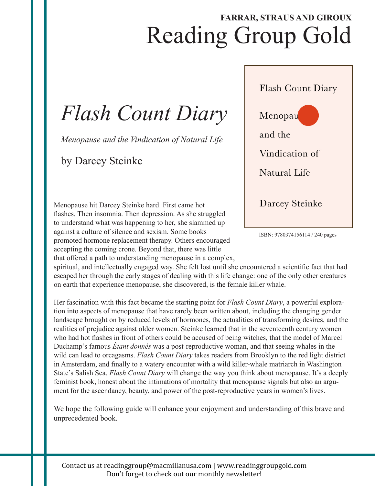## Reading Group Gold **FARRAR, STRAUS AND GIROUX**

# *Flash Count Diary*

*Menopause and the Vindication of Natural Life*

by Darcey Steinke

Menopause hit Darcey Steinke hard. First came hot flashes. Then insomnia. Then depression. As she struggled to understand what was happening to her, she slammed up against a culture of silence and sexism. Some books promoted hormone replacement therapy. Others encouraged accepting the coming crone. Beyond that, there was little that offered a path to understanding menopause in a complex,



ISBN: 9780374156114 / 240 pages

spiritual, and intellectually engaged way. She felt lost until she encountered a scientific fact that had escaped her through the early stages of dealing with this life change: one of the only other creatures on earth that experience menopause, she discovered, is the female killer whale.

Her fascination with this fact became the starting point for *Flash Count Diary*, a powerful exploration into aspects of menopause that have rarely been written about, including the changing gender landscape brought on by reduced levels of hormones, the actualities of transforming desires, and the realities of prejudice against older women. Steinke learned that in the seventeenth century women who had hot flashes in front of others could be accused of being witches, that the model of Marcel Duchamp's famous *Étant donnés* was a post-reproductive woman, and that seeing whales in the wild can lead to orcagasms. *Flash Count Diary* takes readers from Brooklyn to the red light district in Amsterdam, and finally to a watery encounter with a wild killer-whale matriarch in Washington State's Salish Sea. *Flash Count Diary* will change the way you think about menopause. It's a deeply feminist book, honest about the intimations of mortality that menopause signals but also an argument for the ascendancy, beauty, and power of the post-reproductive years in women's lives.

We hope the following guide will enhance your enjoyment and understanding of this brave and unprecedented book.

Contact
us
at
readinggroup@macmillanusa.com
|
www.readinggroupgold.com Don't forget to check out our monthly newsletter!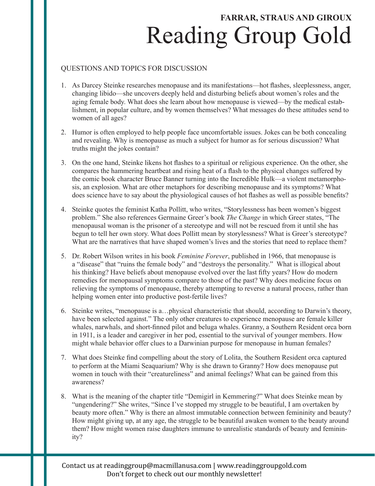### Reading Group Gold **FARRAR, STRAUS AND GIROUX**

#### QUESTIONS AND TOPICS FOR DISCUSSION

- 1. As Darcey Steinke researches menopause and its manifestations—hot flashes, sleeplessness, anger, changing libido—she uncovers deeply held and disturbing beliefs about women's roles and the aging female body. What does she learn about how menopause is viewed—by the medical establishment, in popular culture, and by women themselves? What messages do these attitudes send to women of all ages?
- 2. Humor is often employed to help people face uncomfortable issues. Jokes can be both concealing and revealing. Why is menopause as much a subject for humor as for serious discussion? What truths might the jokes contain?
- 3. On the one hand, Steinke likens hot flashes to a spiritual or religious experience. On the other, she compares the hammering heartbeat and rising heat of a flash to the physical changes suffered by the comic book character Bruce Banner turning into the Incredible Hulk—a violent metamorphosis, an explosion. What are other metaphors for describing menopause and its symptoms? What does science have to say about the physiological causes of hot flashes as well as possible benefits?
- 4. Steinke quotes the feminist Katha Pollitt, who writes, "Storylessness has been women's biggest problem." She also references Germaine Greer's book *The Change* in which Greer states, "The menopausal woman is the prisoner of a stereotype and will not be rescued from it until she has begun to tell her own story. What does Pollitt mean by storylessness? What is Greer's stereotype? What are the narratives that have shaped women's lives and the stories that need to replace them?
- 5. Dr. Robert Wilson writes in his book *Feminine Forever*, published in 1966, that menopause is a "disease" that "ruins the female body" and "destroys the personality." What is illogical about his thinking? Have beliefs about menopause evolved over the last fifty years? How do modern remedies for menopausal symptoms compare to those of the past? Why does medicine focus on relieving the symptoms of menopause, thereby attempting to reverse a natural process, rather than helping women enter into productive post-fertile lives?
- 6. Steinke writes, "menopause is a…physical characteristic that should, according to Darwin's theory, have been selected against." The only other creatures to experience menopause are female killer whales, narwhals, and short-finned pilot and beluga whales. Granny, a Southern Resident orca born in 1911, is a leader and caregiver in her pod, essential to the survival of younger members. How might whale behavior offer clues to a Darwinian purpose for menopause in human females?
- 7. What does Steinke find compelling about the story of Lolita, the Southern Resident orca captured to perform at the Miami Seaquarium? Why is she drawn to Granny? How does menopause put women in touch with their "creatureliness" and animal feelings? What can be gained from this awareness?
- 8. What is the meaning of the chapter title "Demigirl in Kemmering?" What does Steinke mean by "ungendering?" She writes, "Since I've stopped my struggle to be beautiful, I am overtaken by beauty more often." Why is there an almost immutable connection between femininity and beauty? How might giving up, at any age, the struggle to be beautiful awaken women to the beauty around them? How might women raise daughters immune to unrealistic standards of beauty and femininity?

Contact
us
at
readinggroup@macmillanusa.com
|
www.readinggroupgold.com Don't forget to check out our monthly newsletter!